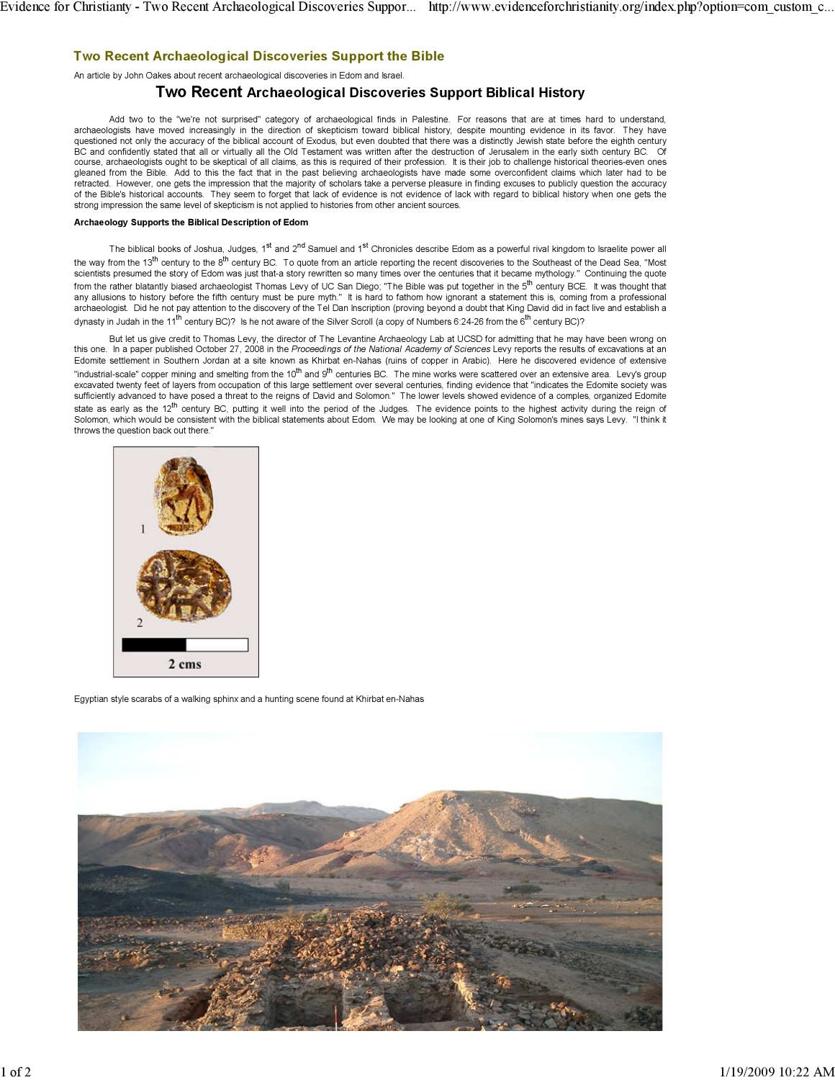# Two Recent Archaeological Discoveries Support the Bible

An article by John Oakes about recent archaeological discoveries in Edom and Israel.

## Two Recent Archaeological Discoveries Support Biblical History

Add two to the "we're not surprised" category of archaeological finds in Palestine. For reasons that are at times hard to understand, archaeologists have moved increasingly in the direction of skepticism toward biblical history, despite mounting evidence in its favor. They have questioned not only the accuracy of the biblical account of Exodus, but even doubted that there was a distinctly Jewish state before the eighth century BC and confidently stated that all or virtually all the Old Testament was written after the destruction of Jerusalem in the early sixth century BC. Of course, archaeologists ought to be skeptical of all claims, as this is required of their profession. It is their job to challenge historical theories-even ones gleaned from the Bible. Add to this the fact that in the past believing archaeologists have made some overconfident claims which later had to be retracted. However, one gets the impression that the majority of scholars take a perverse pleasure in finding excuses to publicly question the accuracy of the Bible's historical accounts. They seem to forget that lack of evidence is not evidence of lack with regard to biblical history when one gets the strong impression the same level of skepticism is not applied to histories from other ancient sources.

### Archaeology Supports the Biblical Description of Edom

The biblical books of Joshua, Judges, 1st and 2<sup>nd</sup> Samuel and 1st Chronicles describe Edom as a powerful rival kingdom to Israelite power all the way from the  $13<sup>th</sup>$  century to the  $8<sup>th</sup>$  century BC. To quote from an article reporting the recent discoveries to the Southeast of the Dead Sea, "Most scientists presumed the story of Edom was just that-a story rewritten so many times over the centuries that it became mythology." Continuing the quote from the rather blatantly biased archaeologist Thomas Levy of UC San Diego; "The Bible was put together in the 5<sup>th</sup> century BCE. It was thought that any allusions to history before the fifth century must be pure myth." It is hard to fathom how ignorant a statement this is, coming from a professional archaeologist. Did he not pay attention to the discovery of the Tel Dan Inscription (proving beyond a doubt that King David did in fact live and establish a dynasty in Judah in the 11<sup>th</sup> century BC)? Is he not aware of the Silver Scroll (a copy of Numbers 6:24-26 from the 6<sup>th</sup> century BC)?

But let us give credit to Thomas Levy, the director of The Levantine Archaeology Lab at UCSD for admitting that he may have been wrong on this one. In a paper published October 27, 2008 in the Proceedings of the National Academy of Sciences Levy reports the results of excavations at an Edomite settlement in Southern Jordan at a site known as Khirbat en-Nahas (ruins of copper in Arabic). Here he discovered evidence of extensive "industrial-scale" copper mining and smelting from the 10<sup>th</sup> and 9<sup>th</sup> centuries BC. The mine works were scattered over an extensive area. Levy's group excavated twenty feet of layers from occupation of this large settlement over several centuries, finding evidence that "indicates the Edomite society was sufficiently advanced to have posed a threat to the reigns of David and Solomon." The lower levels showed evidence of a comples, organized Edomite state as early as the 12<sup>th</sup> century BC, putting it well into the period of the Judges. The evidence points to the highest activity during the reign of Solomon, which would be consistent with the biblical statements about Edom. We may be looking at one of King Solomon's mines says Levy. "I think it throws the question back out there."



Egyptian style scarabs of a walking sphinx and a hunting scene found at Khirbat en-Nahas